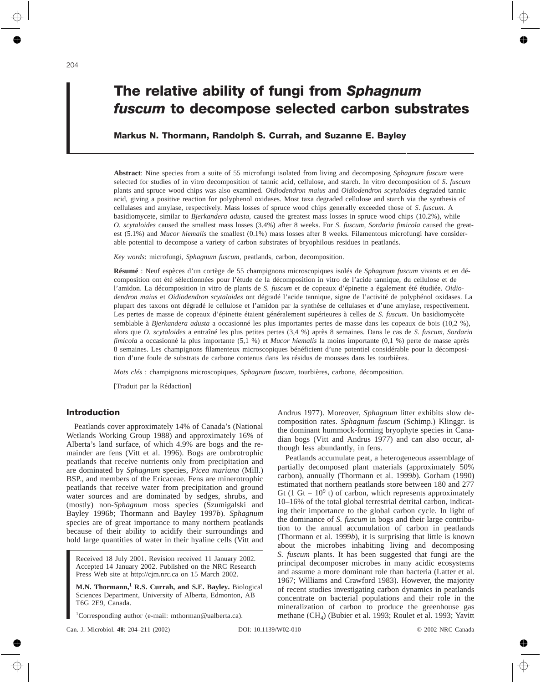# **The relative ability of fungi from** *Sphagnum fuscum* **to decompose selected carbon substrates**

# **Markus N. Thormann, Randolph S. Currah, and Suzanne E. Bayley**

**Abstract**: Nine species from a suite of 55 microfungi isolated from living and decomposing *Sphagnum fuscum* were selected for studies of in vitro decomposition of tannic acid, cellulose, and starch. In vitro decomposition of *S*. *fuscum* plants and spruce wood chips was also examined. *Oidiodendron maius* and *Oidiodendron scytaloides* degraded tannic acid, giving a positive reaction for polyphenol oxidases. Most taxa degraded cellulose and starch via the synthesis of cellulases and amylase, respectively. Mass losses of spruce wood chips generally exceeded those of *S*. *fuscum*. A basidiomycete, similar to *Bjerkandera adusta*, caused the greatest mass losses in spruce wood chips (10.2%), while *O. scytaloides* caused the smallest mass losses (3.4%) after 8 weeks. For *S*. *fuscum*, *Sordaria fimicola* caused the greatest (5.1%) and *Mucor hiemalis* the smallest (0.1%) mass losses after 8 weeks. Filamentous microfungi have considerable potential to decompose a variety of carbon substrates of bryophilous residues in peatlands.

*Key words*: microfungi, *Sphagnum fuscum*, peatlands, carbon, decomposition.

**Résumé** : Neuf espèces d'un cortège de 55 champignons microscopiques isolés de *Sphagnum fuscum* vivants et en décomposition ont été sélectionnées pour l'étude de la décomposition in vitro de l'acide tannique, du cellulose et de l'amidon. La décomposition in vitro de plants de *S. fuscum* et de copeaux d'épinette a également été étudiée. *Oidiodendron maius* et *Oidiodendron scytaloides* ont dégradé l'acide tannique, signe de l'activité de polyphénol oxidases. La plupart des taxons ont dégradé le cellulose et l'amidon par la synthèse de cellulases et d'une amylase, respectivement. Les pertes de masse de copeaux d'épinette étaient généralement supérieures à celles de *S. fuscum*. Un basidiomycète semblable à *Bjerkandera adusta* a occasionné les plus importantes pertes de masse dans les copeaux de bois (10,2 %), alors que *O. scytaloides* a entraîné les plus petites pertes (3,4 %) après 8 semaines. Dans le cas de *S. fuscum*, *Sordaria fimicola* a occasionné la plus importante (5,1 %) et *Mucor hiemalis* la moins importante (0,1 %) perte de masse après 8 semaines. Les champignons filamenteux microscopiques bénéficient d'une potentiel considérable pour la décomposition d'une foule de substrats de carbone contenus dans les résidus de mousses dans les tourbières.

*Mots clés* : champignons microscopiques, *Sphagnum fuscum*, tourbières, carbone, décomposition.

[Traduit par la Rédaction]

# **Introduction**

Peatlands cover approximately 14% of Canada's (National Wetlands Working Group 1988) and approximately 16% of Alberta's land surface, of which 4.9% are bogs and the remainder are fens (Vitt et al. 1996). Bogs are ombrotrophic peatlands that receive nutrients only from precipitation and are dominated by *Sphagnum* species, *Picea mariana* (Mill.) BSP., and members of the Ericaceae. Fens are minerotrophic peatlands that receive water from precipitation and ground water sources and are dominated by sedges, shrubs, and (mostly) non-*Sphagnum* moss species (Szumigalski and Bayley 1996*b*; Thormann and Bayley 1997*b*). *Sphagnum* species are of great importance to many northern peatlands because of their ability to acidify their surroundings and hold large quantities of water in their hyaline cells (Vitt and

Received 18 July 2001. Revision received 11 January 2002. Accepted 14 January 2002. Published on the NRC Research Press Web site at http://cjm.nrc.ca on 15 March 2002.

**M.N. Thormann,<sup>1</sup> R.S. Currah, and S.E. Bayley.** Biological Sciences Department, University of Alberta, Edmonton, AB T6G 2E9, Canada.

<sup>1</sup>Corresponding author (e-mail: mthorman@ualberta.ca).

Andrus 1977). Moreover, *Sphagnum* litter exhibits slow decomposition rates. *Sphagnum fuscum* (Schimp.) Klinggr. is the dominant hummock-forming bryophyte species in Canadian bogs (Vitt and Andrus 1977) and can also occur, although less abundantly, in fens.

Peatlands accumulate peat, a heterogeneous assemblage of partially decomposed plant materials (approximately 50% carbon), annually (Thormann et al. 1999*b*). Gorham (1990) estimated that northern peatlands store between 180 and 277 Gt (1 Gt =  $10<sup>9</sup>$  t) of carbon, which represents approximately 10–16% of the total global terrestrial detrital carbon, indicating their importance to the global carbon cycle. In light of the dominance of *S. fuscum* in bogs and their large contribution to the annual accumulation of carbon in peatlands (Thormann et al. 1999*b*), it is surprising that little is known about the microbes inhabiting living and decomposing *S. fuscum* plants. It has been suggested that fungi are the principal decomposer microbes in many acidic ecosystems and assume a more dominant role than bacteria (Latter et al. 1967; Williams and Crawford 1983). However, the majority of recent studies investigating carbon dynamics in peatlands concentrate on bacterial populations and their role in the mineralization of carbon to produce the greenhouse gas methane (CH<sub>4</sub>) (Bubier et al. 1993; Roulet et al. 1993; Yavitt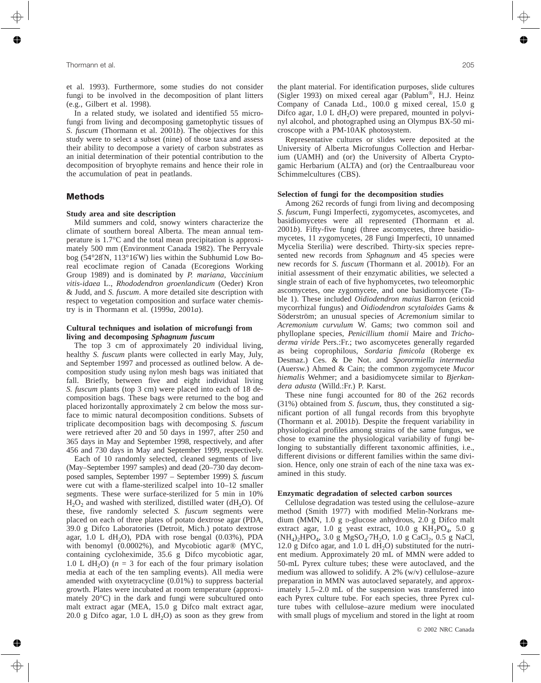et al. 1993). Furthermore, some studies do not consider fungi to be involved in the decomposition of plant litters (e.g., Gilbert et al. 1998).

In a related study, we isolated and identified 55 microfungi from living and decomposing gametophytic tissues of *S*. *fuscum* (Thormann et al. 2001*b*). The objectives for this study were to select a subset (nine) of those taxa and assess their ability to decompose a variety of carbon substrates as an initial determination of their potential contribution to the decomposition of bryophyte remains and hence their role in the accumulation of peat in peatlands.

# **Methods**

# **Study area and site description**

Mild summers and cold, snowy winters characterize the climate of southern boreal Alberta. The mean annual temperature is 1.7°C and the total mean precipitation is approximately 500 mm (Environment Canada 1982). The Perryvale bog (54°28′N, 113°16′W) lies within the Subhumid Low Boreal ecoclimate region of Canada (Ecoregions Working Group 1989) and is dominated by *P. mariana*, *Vaccinium vitis-idaea* L., *Rhododendron groenlandicum* (Oeder) Kron & Judd, and *S. fuscum*. A more detailed site description with respect to vegetation composition and surface water chemistry is in Thormann et al. (1999*a*, 2001*a*).

#### **Cultural techniques and isolation of microfungi from living and decomposing** *Sphagnum fuscum*

The top 3 cm of approximately 20 individual living, healthy *S. fuscum* plants were collected in early May, July, and September 1997 and processed as outlined below. A decomposition study using nylon mesh bags was initiated that fall. Briefly, between five and eight individual living *S. fuscum* plants (top 3 cm) were placed into each of 18 decomposition bags. These bags were returned to the bog and placed horizontally approximately 2 cm below the moss surface to mimic natural decomposition conditions. Subsets of triplicate decomposition bags with decomposing *S. fuscum* were retrieved after 20 and 50 days in 1997, after 250 and 365 days in May and September 1998, respectively, and after 456 and 730 days in May and September 1999, respectively.

Each of 10 randomly selected, cleaned segments of live (May–September 1997 samples) and dead (20–730 day decomposed samples, September 1997 – September 1999) *S. fuscum* were cut with a flame-sterilized scalpel into 10–12 smaller segments. These were surface-sterilized for 5 min in 10%  $H<sub>2</sub>O<sub>2</sub>$  and washed with sterilized, distilled water (dH<sub>2</sub>O). Of these, five randomly selected *S. fuscum* segments were placed on each of three plates of potato dextrose agar (PDA, 39.0 g Difco Laboratories (Detroit, Mich.) potato dextrose agar,  $1.0$  L dH<sub>2</sub>O), PDA with rose bengal  $(0.03\%)$ , PDA with benomyl (0.0002%), and Mycobiotic agar® (MYC, containing cycloheximide, 35.6 g Difco mycobiotic agar, 1.0 L dH<sub>2</sub>O) ( $n = 3$  for each of the four primary isolation media at each of the ten sampling events). All media were amended with oxytetracycline (0.01%) to suppress bacterial growth. Plates were incubated at room temperature (approximately 20°C) in the dark and fungi were subcultured onto malt extract agar (MEA, 15.0 g Difco malt extract agar, 20.0 g Difco agar, 1.0 L  $dH_2O$ ) as soon as they grew from the plant material. For identification purposes, slide cultures (Sigler 1993) on mixed cereal agar (Pablum®, H.J. Heinz Company of Canada Ltd., 100.0 g mixed cereal, 15.0 g Difco agar,  $1.0 \text{ L dH}_2\text{O}$  were prepared, mounted in polyvinyl alcohol, and photographed using an Olympus BX-50 microscope with a PM-10AK photosystem.

Representative cultures or slides were deposited at the University of Alberta Microfungus Collection and Herbarium (UAMH) and (or) the University of Alberta Cryptogamic Herbarium (ALTA) and (or) the Centraalbureau voor Schimmelcultures (CBS).

#### **Selection of fungi for the decomposition studies**

Among 262 records of fungi from living and decomposing *S*. *fuscum*, Fungi Imperfecti, zygomycetes, ascomycetes, and basidiomycetes were all represented (Thormann et al. 2001*b*). Fifty-five fungi (three ascomycetes, three basidiomycetes, 11 zygomycetes, 28 Fungi Imperfecti, 10 unnamed Mycelia Sterilia) were described. Thirty-six species represented new records from *Sphagnum* and 45 species were new records for *S*. *fuscum* (Thormann et al. 2001*b*). For an initial assessment of their enzymatic abilities, we selected a single strain of each of five hyphomycetes, two teleomorphic ascomycetes, one zygomycete, and one basidiomycete (Table 1). These included *Oidiodendron maius* Barron (ericoid mycorrhizal fungus) and *Oidiodendron scytaloides* Gams & Söderström; an unusual species of *Acremonium* similar to *Acremonium curvulum* W. Gams; two common soil and phylloplane species, *Penicillium thomii* Maire and *Trichoderma viride* Pers.:Fr.; two ascomycetes generally regarded as being coprophilous, *Sordaria fimicola* (Roberge ex Desmaz.) Ces. & De Not. and *Sporormiella intermedia* (Auersw.) Ahmed & Cain; the common zygomycete *Mucor hiemalis* Wehmer; and a basidiomycete similar to *Bjerkandera adusta* (Willd.:Fr.) P. Karst.

These nine fungi accounted for 80 of the 262 records (31%) obtained from *S*. *fuscum*, thus, they constituted a significant portion of all fungal records from this bryophyte (Thormann et al. 2001*b*). Despite the frequent variability in physiological profiles among strains of the same fungus, we chose to examine the physiological variability of fungi belonging to substantially different taxonomic affinities, i.e., different divisions or different families within the same division. Hence, only one strain of each of the nine taxa was examined in this study.

# **Enzymatic degradation of selected carbon sources**

Cellulose degradation was tested using the cellulose–azure method (Smith 1977) with modified Melin-Norkrans medium (MMN, 1.0 g D-glucose anhydrous, 2.0 g Difco malt extract agar, 1.0 g yeast extract, 10.0 g  $KH_2PO_4$ , 5.0 g  $(NH_4)_2HPO_4$ , 3.0 g MgSO<sub>4</sub>·7H<sub>2</sub>O, 1.0 g CaCl<sub>2</sub>, 0.5 g NaCl, 12.0 g Difco agar, and 1.0 L  $dH_2O$ ) substituted for the nutrient medium. Approximately 20 mL of MMN were added to 50-mL Pyrex culture tubes; these were autoclaved, and the medium was allowed to solidify. A 2% (w/v) cellulose–azure preparation in MMN was autoclaved separately, and approximately 1.5–2.0 mL of the suspension was transferred into each Pyrex culture tube. For each species, three Pyrex culture tubes with cellulose–azure medium were inoculated with small plugs of mycelium and stored in the light at room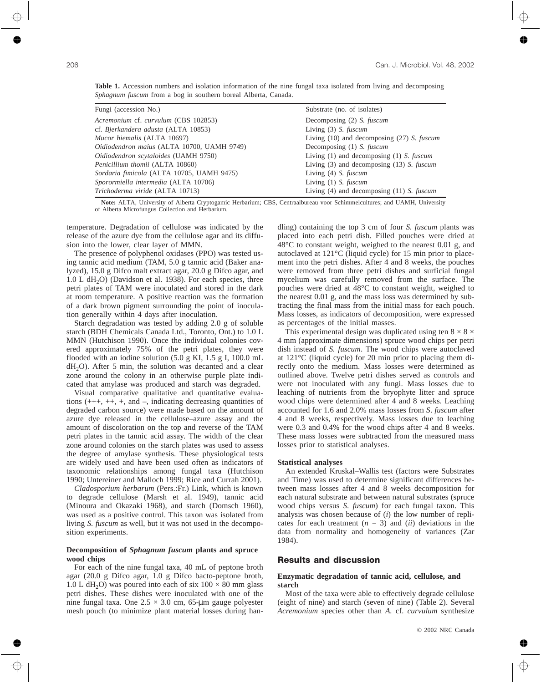| Table 1. Accession numbers and isolation information of the nine fungal taxa isolated from living and decomposing |  |  |  |  |  |  |  |
|-------------------------------------------------------------------------------------------------------------------|--|--|--|--|--|--|--|
| Sphagnum fuscum from a bog in southern boreal Alberta, Canada.                                                    |  |  |  |  |  |  |  |

| Fungi (accession No.)                      | Substrate (no. of isolates)                           |
|--------------------------------------------|-------------------------------------------------------|
| Acremonium cf. curvulum (CBS 102853)       | Decomposing (2) S. fuscum                             |
| cf. Bjerkandera adusta (ALTA 10853)        | Living $(3)$ <i>S. fuscum</i>                         |
| <i>Mucor hiemalis</i> (ALTA 10697)         | Living $(10)$ and decomposing $(27)$ <i>S. fuscum</i> |
| Oidiodendron maius (ALTA 10700, UAMH 9749) | Decomposing (1) S. fuscum                             |
| Oidiodendron scytaloides (UAMH 9750)       | Living $(1)$ and decomposing $(1)$ <i>S. fuscum</i>   |
| Penicillium thomii (ALTA 10860)            | Living $(3)$ and decomposing $(13)$ <i>S. fuscum</i>  |
| Sordaria fimicola (ALTA 10705, UAMH 9475)  | Living (4) S. fuscum                                  |
| Sporormiella intermedia (ALTA 10706)       | Living (1) S. fuscum                                  |
| Trichoderma viride (ALTA 10713)            | Living $(4)$ and decomposing $(11)$ <i>S. fuscum</i>  |

**Note:** ALTA, University of Alberta Cryptogamic Herbarium; CBS, Centraalbureau voor Schimmelcultures; and UAMH, University of Alberta Microfungus Collection and Herbarium.

temperature. Degradation of cellulose was indicated by the release of the azure dye from the cellulose agar and its diffusion into the lower, clear layer of MMN.

The presence of polyphenol oxidases (PPO) was tested using tannic acid medium (TAM, 5.0 g tannic acid (Baker analyzed), 15.0 g Difco malt extract agar, 20.0 g Difco agar, and  $1.0$  L dH<sub>2</sub>O) (Davidson et al. 1938). For each species, three petri plates of TAM were inoculated and stored in the dark at room temperature. A positive reaction was the formation of a dark brown pigment surrounding the point of inoculation generally within 4 days after inoculation.

Starch degradation was tested by adding 2.0 g of soluble starch (BDH Chemicals Canada Ltd., Toronto, Ont.) to 1.0 L MMN (Hutchison 1990). Once the individual colonies covered approximately 75% of the petri plates, they were flooded with an iodine solution (5.0 g KI, 1.5 g I, 100.0 mL  $dH<sub>2</sub>O$ . After 5 min, the solution was decanted and a clear zone around the colony in an otherwise purple plate indicated that amylase was produced and starch was degraded.

Visual comparative qualitative and quantitative evaluations (+++, ++, +, and –, indicating decreasing quantities of degraded carbon source) were made based on the amount of azure dye released in the cellulose–azure assay and the amount of discoloration on the top and reverse of the TAM petri plates in the tannic acid assay. The width of the clear zone around colonies on the starch plates was used to assess the degree of amylase synthesis. These physiological tests are widely used and have been used often as indicators of taxonomic relationships among fungal taxa (Hutchison 1990; Untereiner and Malloch 1999; Rice and Currah 2001).

*Cladosporium herbarum* (Pers.:Fr.) Link, which is known to degrade cellulose (Marsh et al. 1949), tannic acid (Minoura and Okazaki 1968), and starch (Domsch 1960), was used as a positive control. This taxon was isolated from living *S. fuscum* as well, but it was not used in the decomposition experiments.

## **Decomposition of** *Sphagnum fuscum* **plants and spruce wood chips**

For each of the nine fungal taxa, 40 mL of peptone broth agar (20.0 g Difco agar, 1.0 g Difco bacto-peptone broth, 1.0 L dH<sub>2</sub>O) was poured into each of six  $100 \times 80$  mm glass petri dishes. These dishes were inoculated with one of the nine fungal taxa. One  $2.5 \times 3.0$  cm, 65-µm gauge polyester mesh pouch (to minimize plant material losses during handling) containing the top 3 cm of four *S. fuscum* plants was placed into each petri dish. Filled pouches were dried at 48°C to constant weight, weighed to the nearest 0.01 g, and autoclaved at 121°C (liquid cycle) for 15 min prior to placement into the petri dishes. After 4 and 8 weeks, the pouches were removed from three petri dishes and surficial fungal mycelium was carefully removed from the surface. The pouches were dried at 48°C to constant weight, weighed to the nearest 0.01 g, and the mass loss was determined by subtracting the final mass from the initial mass for each pouch. Mass losses, as indicators of decomposition, were expressed as percentages of the initial masses.

This experimental design was duplicated using ten  $8 \times 8 \times$ 4 mm (approximate dimensions) spruce wood chips per petri dish instead of *S. fuscum*. The wood chips were autoclaved at 121°C (liquid cycle) for 20 min prior to placing them directly onto the medium. Mass losses were determined as outlined above. Twelve petri dishes served as controls and were not inoculated with any fungi. Mass losses due to leaching of nutrients from the bryophyte litter and spruce wood chips were determined after 4 and 8 weeks. Leaching accounted for 1.6 and 2.0% mass losses from *S*. *fuscum* after 4 and 8 weeks, respectively. Mass losses due to leaching were 0.3 and 0.4% for the wood chips after 4 and 8 weeks. These mass losses were subtracted from the measured mass losses prior to statistical analyses.

#### **Statistical analyses**

An extended Kruskal–Wallis test (factors were Substrates and Time) was used to determine significant differences between mass losses after 4 and 8 weeks decomposition for each natural substrate and between natural substrates (spruce wood chips versus *S*. *fuscum*) for each fungal taxon. This analysis was chosen because of (*i*) the low number of replicates for each treatment  $(n = 3)$  and  $(ii)$  deviations in the data from normality and homogeneity of variances (Zar 1984).

# **Results and discussion**

#### **Enzymatic degradation of tannic acid, cellulose, and starch**

Most of the taxa were able to effectively degrade cellulose (eight of nine) and starch (seven of nine) (Table 2). Several *Acremonium* species other than *A.* cf. *curvulum* synthesize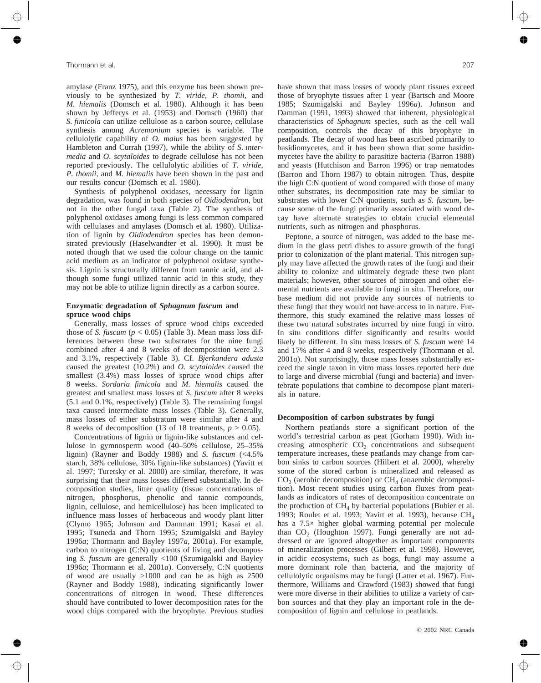amylase (Franz 1975), and this enzyme has been shown previously to be synthesized by *T. viride*, *P. thomii*, and *M. hiemalis* (Domsch et al. 1980). Although it has been shown by Jefferys et al. (1953) and Domsch (1960) that *S. fimicola* can utilize cellulose as a carbon source, cellulase synthesis among *Acremonium* species is variable. The cellulolytic capability of *O. maius* has been suggested by Hambleton and Currah (1997), while the ability of *S. intermedia* and *O. scytaloides* to degrade cellulose has not been reported previously. The cellulolytic abilities of *T. viride*, *P. thomii*, and *M. hiemalis* have been shown in the past and our results concur (Domsch et al. 1980).

Synthesis of polyphenol oxidases, necessary for lignin degradation, was found in both species of *Oidiodendron*, but not in the other fungal taxa (Table 2). The synthesis of polyphenol oxidases among fungi is less common compared with cellulases and amylases (Domsch et al. 1980). Utilization of lignin by *Oidiodendron* species has been demonstrated previously (Haselwandter et al. 1990). It must be noted though that we used the colour change on the tannic acid medium as an indicator of polyphenol oxidase synthesis. Lignin is structurally different from tannic acid, and although some fungi utilized tannic acid in this study, they may not be able to utilize lignin directly as a carbon source.

# **Enzymatic degradation of** *Sphagnum fuscum* **and spruce wood chips**

Generally, mass losses of spruce wood chips exceeded those of *S. fuscum* ( $p < 0.05$ ) (Table 3). Mean mass loss differences between these two substrates for the nine fungi combined after 4 and 8 weeks of decomposition were 2.3 and 3.1%, respectively (Table 3). Cf. *Bjerkandera adusta* caused the greatest (10.2%) and *O. scytaloides* caused the smallest (3.4%) mass losses of spruce wood chips after 8 weeks. *Sordaria fimicola* and *M. hiemalis* caused the greatest and smallest mass losses of *S*. *fuscum* after 8 weeks (5.1 and 0.1%, respectively) (Table 3). The remaining fungal taxa caused intermediate mass losses (Table 3). Generally, mass losses of either substratum were similar after 4 and 8 weeks of decomposition (13 of 18 treatments,  $p > 0.05$ ).

Concentrations of lignin or lignin-like substances and cellulose in gymnosperm wood (40–50% cellulose, 25–35% lignin) (Rayner and Boddy 1988) and *S. fuscum* (<4.5% starch, 38% cellulose, 30% lignin-like substances) (Yavitt et al. 1997; Turetsky et al. 2000) are similar, therefore, it was surprising that their mass losses differed substantially. In decomposition studies, litter quality (tissue concentrations of nitrogen, phosphorus, phenolic and tannic compounds, lignin, cellulose, and hemicellulose) has been implicated to influence mass losses of herbaceous and woody plant litter (Clymo 1965; Johnson and Damman 1991; Kasai et al. 1995; Tsuneda and Thorn 1995; Szumigalski and Bayley 1996*a*; Thormann and Bayley 1997*a*, 2001*a*). For example, carbon to nitrogen (C:N) quotients of living and decomposing *S. fuscum* are generally <100 (Szumigalski and Bayley 1996*a*; Thormann et al. 2001*a*). Conversely, C:N quotients of wood are usually >1000 and can be as high as 2500 (Rayner and Boddy 1988), indicating significantly lower concentrations of nitrogen in wood. These differences should have contributed to lower decomposition rates for the wood chips compared with the bryophyte. Previous studies have shown that mass losses of woody plant tissues exceed those of bryophyte tissues after 1 year (Bartsch and Moore 1985; Szumigalski and Bayley 1996*a*). Johnson and Damman (1991, 1993) showed that inherent, physiological characteristics of *Sphagnum* species, such as the cell wall composition, controls the decay of this bryophyte in peatlands. The decay of wood has been ascribed primarily to basidiomycetes, and it has been shown that some basidiomycetes have the ability to parasitize bacteria (Barron 1988) and yeasts (Hutchison and Barron 1996) or trap nematodes (Barron and Thorn 1987) to obtain nitrogen. Thus, despite the high C:N quotient of wood compared with those of many other substrates, its decomposition rate may be similar to substrates with lower C:N quotients, such as *S*. *fuscum*, because some of the fungi primarily associated with wood decay have alternate strategies to obtain crucial elemental nutrients, such as nitrogen and phosphorus.

Peptone, a source of nitrogen, was added to the base medium in the glass petri dishes to assure growth of the fungi prior to colonization of the plant material. This nitrogen supply may have affected the growth rates of the fungi and their ability to colonize and ultimately degrade these two plant materials; however, other sources of nitrogen and other elemental nutrients are available to fungi in situ. Therefore, our base medium did not provide any sources of nutrients to these fungi that they would not have access to in nature. Furthermore, this study examined the relative mass losses of these two natural substrates incurred by nine fungi in vitro. In situ conditions differ significantly and results would likely be different. In situ mass losses of *S. fuscum* were 14 and 17% after 4 and 8 weeks, respectively (Thormann et al. 2001*a*). Not surprisingly, those mass losses substantially exceed the single taxon in vitro mass losses reported here due to large and diverse microbial (fungi and bacteria) and invertebrate populations that combine to decompose plant materials in nature.

#### **Decomposition of carbon substrates by fungi**

Northern peatlands store a significant portion of the world's terrestrial carbon as peat (Gorham 1990). With increasing atmospheric  $CO<sub>2</sub>$  concentrations and subsequent temperature increases, these peatlands may change from carbon sinks to carbon sources (Hilbert et al. 2000), whereby some of the stored carbon is mineralized and released as  $CO<sub>2</sub>$  (aerobic decomposition) or  $CH<sub>4</sub>$  (anaerobic decomposition). Most recent studies using carbon fluxes from peatlands as indicators of rates of decomposition concentrate on the production of  $CH<sub>4</sub>$  by bacterial populations (Bubier et al. 1993; Roulet et al. 1993; Yavitt et al. 1993), because CH4 has a 7.5× higher global warming potential per molecule than  $CO<sub>2</sub>$  (Houghton 1997). Fungi generally are not addressed or are ignored altogether as important components of mineralization processes (Gilbert et al. 1998). However, in acidic ecosystems, such as bogs, fungi may assume a more dominant role than bacteria, and the majority of cellulolytic organisms may be fungi (Latter et al. 1967). Furthermore, Williams and Crawford (1983) showed that fungi were more diverse in their abilities to utilize a variety of carbon sources and that they play an important role in the decomposition of lignin and cellulose in peatlands.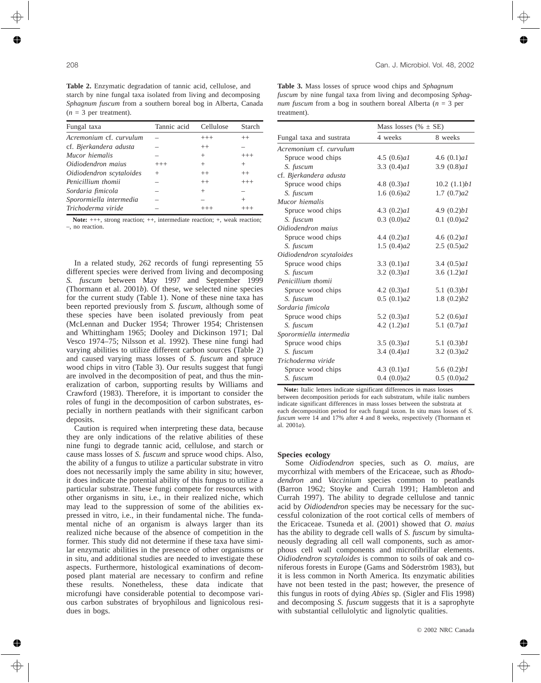**Table 2.** Enzymatic degradation of tannic acid, cellulose, and starch by nine fungal taxa isolated from living and decomposing *Sphagnum fuscum* from a southern boreal bog in Alberta, Canada  $(n = 3$  per treatment).

| Fungal taxa              | Tannic acid | Cellulose | Starch   |
|--------------------------|-------------|-----------|----------|
| Acremonium cf. curvulum  |             | $^{+++}$  | $^{++}$  |
| cf. Bjerkandera adusta   |             | $^{++}$   |          |
| Mucor hiemalis           |             | $^{+}$    | $^{+++}$ |
| Oidiodendron maius       | $^{+++}$    | $^+$      | $^{+}$   |
| Oidiodendron scytaloides | $^{+}$      | $^{++}$   | $++$     |
| Penicillium thomii       |             | $^{++}$   | $^{+++}$ |
| Sordaria fimicola        |             | $^+$      |          |
| Sporormiella intermedia  |             |           | $^{+}$   |
| Trichoderma viride       |             |           |          |

Note:  $+++$ , strong reaction;  $++$ , intermediate reaction;  $+$ , weak reaction; –, no reaction.

In a related study, 262 records of fungi representing 55 different species were derived from living and decomposing *S. fuscum* between May 1997 and September 1999 (Thormann et al. 2001*b*). Of these, we selected nine species for the current study (Table 1). None of these nine taxa has been reported previously from *S. fuscum*, although some of these species have been isolated previously from peat (McLennan and Ducker 1954; Thrower 1954; Christensen and Whittingham 1965; Dooley and Dickinson 1971; Dal Vesco 1974–75; Nilsson et al. 1992). These nine fungi had varying abilities to utilize different carbon sources (Table 2) and caused varying mass losses of *S*. *fuscum* and spruce wood chips in vitro (Table 3). Our results suggest that fungi are involved in the decomposition of peat, and thus the mineralization of carbon, supporting results by Williams and Crawford (1983). Therefore, it is important to consider the roles of fungi in the decomposition of carbon substrates, especially in northern peatlands with their significant carbon deposits.

Caution is required when interpreting these data, because they are only indications of the relative abilities of these nine fungi to degrade tannic acid, cellulose, and starch or cause mass losses of *S. fuscum* and spruce wood chips. Also, the ability of a fungus to utilize a particular substrate in vitro does not necessarily imply the same ability in situ; however, it does indicate the potential ability of this fungus to utilize a particular substrate. These fungi compete for resources with other organisms in situ, i.e., in their realized niche, which may lead to the suppression of some of the abilities expressed in vitro, i.e., in their fundamental niche. The fundamental niche of an organism is always larger than its realized niche because of the absence of competition in the former. This study did not determine if these taxa have similar enzymatic abilities in the presence of other organisms or in situ, and additional studies are needed to investigate these aspects. Furthermore, histological examinations of decomposed plant material are necessary to confirm and refine these results. Nonetheless, these data indicate that microfungi have considerable potential to decompose various carbon substrates of bryophilous and lignicolous residues in bogs.

**Table 3.** Mass losses of spruce wood chips and *Sphagnum fuscum* by nine fungal taxa from living and decomposing *Sphagnum fuscum* from a bog in southern boreal Alberta (*n* = 3 per treatment).

|                          | Mass losses (% $\pm$ SE) |                |  |  |  |  |
|--------------------------|--------------------------|----------------|--|--|--|--|
| Fungal taxa and sustrata | 4 weeks                  | 8 weeks        |  |  |  |  |
| Acremonium cf. curvulum  |                          |                |  |  |  |  |
| Spruce wood chips        | 4.5 $(0.6)aI$            | 4.6 $(0.1)aI$  |  |  |  |  |
| S. fuscum                | 3.3 $(0.4)aI$            | 3.9(0.8)aI     |  |  |  |  |
| cf. Bjerkandera adusta   |                          |                |  |  |  |  |
| Spruce wood chips        | 4.8 $(0.3)aI$            | 10.2 (1.1) b1  |  |  |  |  |
| S. fuscum                | 1.6 $(0.6)a2$            | 1.7(0.7)a2     |  |  |  |  |
| Mucor hiemalis           |                          |                |  |  |  |  |
| Spruce wood chips        | 4.3 $(0.2)aI$            | 4.9(0.2) b1    |  |  |  |  |
| S. fuscum                | 0.3(0.0)a2               | 0.1(0.0)a2     |  |  |  |  |
| Oidiodendron maius       |                          |                |  |  |  |  |
| Spruce wood chips        | 4.4 $(0.2)aI$            | 4.6 $(0.2)aI$  |  |  |  |  |
| S. fuscum                | 1.5(0.4)a2               | 2.5(0.5)a2     |  |  |  |  |
| Oidiodendron scytaloides |                          |                |  |  |  |  |
| Spruce wood chips        | 3.3 $(0.1)aI$            | 3.4 $(0.5)aI$  |  |  |  |  |
| S. fuscum                | 3.2(0.3)aI               | 3.6 $(1.2)aI$  |  |  |  |  |
| Penicillium thomii       |                          |                |  |  |  |  |
| Spruce wood chips        | 4.2 $(0.3)aI$            | 5.1 $(0.3) b1$ |  |  |  |  |
| S. fuscum                | 0.5(0.1)a2               | 1.8(0.2) b2    |  |  |  |  |
| Sordaria fimicola        |                          |                |  |  |  |  |
| Spruce wood chips        | 5.2 $(0.3)aI$            | 5.2 $(0.6)aI$  |  |  |  |  |
| S. fuscum                | 4.2 $(1.2)aI$            | 5.1 $(0.7)aI$  |  |  |  |  |
| Sporormiella intermedia  |                          |                |  |  |  |  |
| Spruce wood chips        | 3.5 $(0.3)aI$            | 5.1(0.3) b1    |  |  |  |  |
| S. fuscum                | 3.4 $(0.4)aI$            | 3.2 $(0.3)a2$  |  |  |  |  |
| Trichoderma viride       |                          |                |  |  |  |  |
| Spruce wood chips        | 4.3 $(0.1)aI$            | 5.6(0.2) b1    |  |  |  |  |
| S. fuscum                | 0.4(0.0)a2               | 0.5(0.0)a2     |  |  |  |  |

**Note:** Italic letters indicate significant differences in mass losses between decomposition periods for each substratum, while italic numbers indicate significant differences in mass losses between the substrata at each decomposition period for each fungal taxon. In situ mass losses of *S. fuscum* were 14 and 17% after 4 and 8 weeks, respectively (Thormann et al. 2001*a*).

# **Species ecology**

Some *Oidiodendron* species, such as *O. maius*, are mycorrhizal with members of the Ericaceae, such as *Rhododendron* and *Vaccinium* species common to peatlands (Barron 1962; Stoyke and Currah 1991; Hambleton and Currah 1997). The ability to degrade cellulose and tannic acid by *Oidiodendron* species may be necessary for the successful colonization of the root cortical cells of members of the Ericaceae. Tsuneda et al. (2001) showed that *O*. *maius* has the ability to degrade cell walls of *S. fuscum* by simultaneously degrading all cell wall components, such as amorphous cell wall components and microfibrillar elements. *Oidiodendron scytaloides* is common to soils of oak and coniferous forests in Europe (Gams and Söderström 1983), but it is less common in North America. Its enzymatic abilities have not been tested in the past; however, the presence of this fungus in roots of dying *Abies* sp. (Sigler and Flis 1998) and decomposing *S. fuscum* suggests that it is a saprophyte with substantial cellulolytic and lignolytic qualities.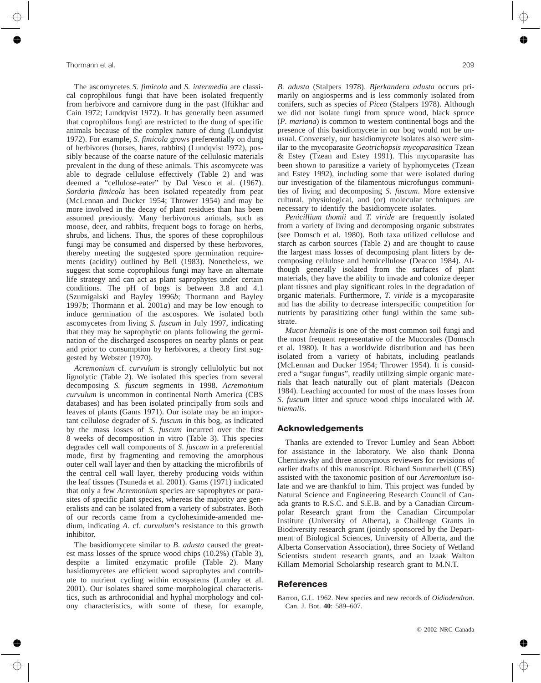The ascomycetes *S. fimicola* and *S. intermedia* are classical coprophilous fungi that have been isolated frequently from herbivore and carnivore dung in the past (Iftikhar and Cain 1972; Lundqvist 1972). It has generally been assumed that coprophilous fungi are restricted to the dung of specific animals because of the complex nature of dung (Lundqvist 1972). For example, *S. fimicola* grows preferentially on dung of herbivores (horses, hares, rabbits) (Lundqvist 1972), possibly because of the coarse nature of the cellulosic materials prevalent in the dung of these animals. This ascomycete was able to degrade cellulose effectively (Table 2) and was deemed a "cellulose-eater" by Dal Vesco et al. (1967). *Sordaria fimicola* has been isolated repeatedly from peat (McLennan and Ducker 1954; Thrower 1954) and may be more involved in the decay of plant residues than has been assumed previously. Many herbivorous animals, such as moose, deer, and rabbits, frequent bogs to forage on herbs, shrubs, and lichens. Thus, the spores of these coprophilous fungi may be consumed and dispersed by these herbivores, thereby meeting the suggested spore germination requirements (acidity) outlined by Bell (1983). Nonetheless, we suggest that some coprophilous fungi may have an alternate life strategy and can act as plant saprophytes under certain conditions. The pH of bogs is between 3.8 and 4.1 (Szumigalski and Bayley 1996*b*; Thormann and Bayley 1997*b*; Thormann et al. 2001*a*) and may be low enough to induce germination of the ascospores. We isolated both ascomycetes from living *S. fuscum* in July 1997, indicating that they may be saprophytic on plants following the germination of the discharged ascospores on nearby plants or peat and prior to consumption by herbivores, a theory first suggested by Webster (1970).

*Acremonium* cf. *curvulum* is strongly cellulolytic but not lignolytic (Table 2). We isolated this species from several decomposing *S. fuscum* segments in 1998. *Acremonium curvulum* is uncommon in continental North America (CBS databases) and has been isolated principally from soils and leaves of plants (Gams 1971). Our isolate may be an important cellulose degrader of *S. fuscum* in this bog, as indicated by the mass losses of *S*. *fuscum* incurred over the first 8 weeks of decomposition in vitro (Table 3). This species degrades cell wall components of *S*. *fuscum* in a preferential mode, first by fragmenting and removing the amorphous outer cell wall layer and then by attacking the microfibrils of the central cell wall layer, thereby producing voids within the leaf tissues (Tsuneda et al. 2001). Gams (1971) indicated that only a few *Acremonium* species are saprophytes or parasites of specific plant species, whereas the majority are generalists and can be isolated from a variety of substrates. Both of our records came from a cycloheximide-amended medium, indicating *A*. cf. *curvulum*'s resistance to this growth inhibitor.

The basidiomycete similar to *B*. *adusta* caused the greatest mass losses of the spruce wood chips (10.2%) (Table 3), despite a limited enzymatic profile (Table 2). Many basidiomycetes are efficient wood saprophytes and contribute to nutrient cycling within ecosystems (Lumley et al. 2001). Our isolates shared some morphological characteristics, such as arthroconidial and hyphal morphology and colony characteristics, with some of these, for example, *B. adusta* (Stalpers 1978). *Bjerkandera adusta* occurs primarily on angiosperms and is less commonly isolated from conifers, such as species of *Picea* (Stalpers 1978). Although we did not isolate fungi from spruce wood, black spruce (*P. mariana*) is common to western continental bogs and the presence of this basidiomycete in our bog would not be unusual. Conversely, our basidiomycete isolates also were similar to the mycoparasite *Geotrichopsis mycoparasitica* Tzean & Estey (Tzean and Estey 1991). This mycoparasite has been shown to parasitize a variety of hyphomycetes (Tzean and Estey 1992), including some that were isolated during our investigation of the filamentous microfungus communities of living and decomposing *S*. *fuscum*. More extensive cultural, physiological, and (or) molecular techniques are necessary to identify the basidiomycete isolates.

*Penicillium thomii* and *T. viride* are frequently isolated from a variety of living and decomposing organic substrates (see Domsch et al. 1980). Both taxa utilized cellulose and starch as carbon sources (Table 2) and are thought to cause the largest mass losses of decomposing plant litters by decomposing cellulose and hemicellulose (Deacon 1984). Although generally isolated from the surfaces of plant materials, they have the ability to invade and colonize deeper plant tissues and play significant roles in the degradation of organic materials. Furthermore, *T. viride* is a mycoparasite and has the ability to decrease interspecific competition for nutrients by parasitizing other fungi within the same substrate.

*Mucor hiemalis* is one of the most common soil fungi and the most frequent representative of the Mucorales (Domsch et al. 1980). It has a worldwide distribution and has been isolated from a variety of habitats, including peatlands (McLennan and Ducker 1954; Thrower 1954). It is considered a "sugar fungus", readily utilizing simple organic materials that leach naturally out of plant materials (Deacon 1984). Leaching accounted for most of the mass losses from *S*. *fuscum* litter and spruce wood chips inoculated with *M*. *hiemalis*.

# **Acknowledgements**

Thanks are extended to Trevor Lumley and Sean Abbott for assistance in the laboratory. We also thank Donna Cherniawsky and three anonymous reviewers for revisions of earlier drafts of this manuscript. Richard Summerbell (CBS) assisted with the taxonomic position of our *Acremonium* isolate and we are thankful to him. This project was funded by Natural Science and Engineering Research Council of Canada grants to R.S.C. and S.E.B. and by a Canadian Circumpolar Research grant from the Canadian Circumpolar Institute (University of Alberta), a Challenge Grants in Biodiversity research grant (jointly sponsored by the Department of Biological Sciences, University of Alberta, and the Alberta Conservation Association), three Society of Wetland Scientists student research grants, and an Izaak Walton Killam Memorial Scholarship research grant to M.N.T.

# **References**

Barron, G.L. 1962. New species and new records of *Oidiodendron*. Can. J. Bot. **40**: 589–607.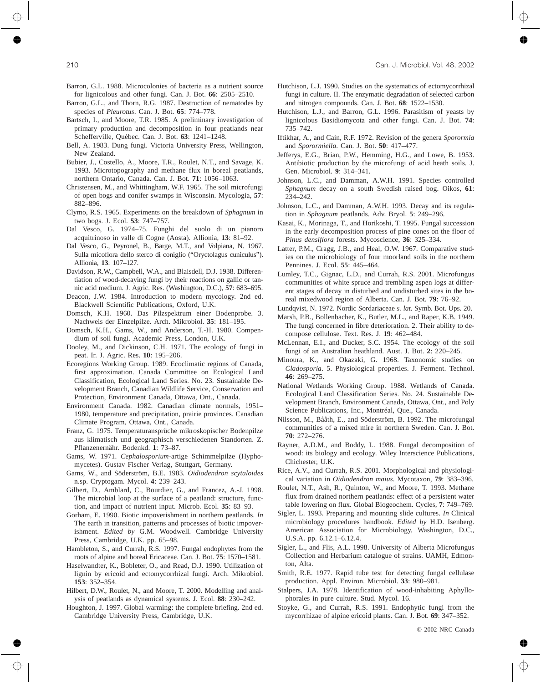- Barron, G.L. 1988. Microcolonies of bacteria as a nutrient source for lignicolous and other fungi. Can. J. Bot. **66**: 2505–2510.
- Barron, G.L., and Thorn, R.G. 1987. Destruction of nematodes by species of *Pleurotus*. Can. J. Bot. **65**: 774–778.
- Bartsch, I., and Moore, T.R. 1985. A preliminary investigation of primary production and decomposition in four peatlands near Schefferville, Québec. Can. J. Bot. **63**: 1241–1248.
- Bell, A. 1983. Dung fungi. Victoria University Press, Wellington, New Zealand.
- Bubier, J., Costello, A., Moore, T.R., Roulet, N.T., and Savage, K. 1993. Microtopography and methane flux in boreal peatlands, northern Ontario, Canada. Can. J. Bot. **71**: 1056–1063.
- Christensen, M., and Whittingham, W.F. 1965. The soil microfungi of open bogs and conifer swamps in Wisconsin. Mycologia, **57**: 882–896.
- Clymo, R.S. 1965. Experiments on the breakdown of *Sphagnum* in two bogs. J. Ecol. **53**: 747–757.
- Dal Vesco, G. 1974–75. Funghi del suolo di un pianoro acquitrinoso in valle di Cogne (Aosta). Allionia, **13**: 81–92.
- Dal Vesco, G., Peyronel, B., Barge, M.T., and Volpiana, N. 1967. Sulla micoflora dello sterco di coniglio ("Oryctolagus cuniculus"). Allionia, **13**: 107–127.
- Davidson, R.W., Campbell, W.A., and Blaisdell, D.J. 1938. Differentiation of wood-decaying fungi by their reactions on gallic or tannic acid medium. J. Agric. Res. (Washington, D.C.), **57**: 683–695.
- Deacon, J.W. 1984. Introduction to modern mycology. 2nd ed. Blackwell Scientific Publications, Oxford, U.K.
- Domsch, K.H. 1960. Das Pilzspektrum einer Bodenprobe. 3. Nachweis der Einzelpilze. Arch. Mikrobiol. **35**: 181–195.
- Domsch, K.H., Gams, W., and Anderson, T.-H. 1980. Compendium of soil fungi. Academic Press, London, U.K.
- Dooley, M., and Dickinson, C.H. 1971. The ecology of fungi in peat. Ir. J. Agric. Res. **10**: 195–206.
- Ecoregions Working Group. 1989. Ecoclimatic regions of Canada, first approximation. Canada Committee on Ecological Land Classification, Ecological Land Series. No. 23. Sustainable Development Branch, Canadian Wildlife Service, Conservation and Protection, Environment Canada, Ottawa, Ont., Canada.
- Environment Canada. 1982. Canadian climate normals, 1951– 1980, temperature and precipitation, prairie provinces. Canadian Climate Program, Ottawa, Ont., Canada.
- Franz, G. 1975. Temperaturansprüche mikroskopischer Bodenpilze aus klimatisch und geographisch verschiedenen Standorten. Z. Pflanzenernähr. Bodenkd. **1**: 73–87.
- Gams, W. 1971. *Cephalosporium*-artige Schimmelpilze (Hyphomycetes). Gustav Fischer Verlag, Stuttgart, Germany.
- Gams, W., and Söderström, B.E. 1983. *Oidiodendron scytaloides* n.sp. Cryptogam. Mycol. **4**: 239–243.
- Gilbert, D., Amblard, C., Bourdier, G., and Francez, A.-J. 1998. The microbial loop at the surface of a peatland: structure, function, and impact of nutrient input. Microb. Ecol. **35**: 83–93.
- Gorham, E. 1990. Biotic impoverishment in northern peatlands. *In* The earth in transition, patterns and processes of biotic impoverishment. *Edited by* G.M. Woodwell. Cambridge University Press, Cambridge, U.K. pp. 65–98.
- Hambleton, S., and Currah, R.S. 1997. Fungal endophytes from the roots of alpine and boreal Ericaceae. Can. J. Bot. **75**: 1570–1581.
- Haselwandter, K., Bobleter, O., and Read, D.J. 1990. Utilization of lignin by ericoid and ectomycorrhizal fungi. Arch. Mikrobiol. **153**: 352–354.
- Hilbert, D.W., Roulet, N., and Moore, T. 2000. Modelling and analysis of peatlands as dynamical systems. J. Ecol. **88**: 230–242.
- Houghton, J. 1997. Global warming: the complete briefing. 2nd ed. Cambridge University Press, Cambridge, U.K.
- Hutchison, L.J. 1990. Studies on the systematics of ectomycorrhizal fungi in culture. II. The enzymatic degradation of selected carbon and nitrogen compounds. Can. J. Bot. **68**: 1522–1530.
- Hutchison, L.J., and Barron, G.L. 1996. Parasitism of yeasts by lignicolous Basidiomycota and other fungi. Can. J. Bot. **74**: 735–742.
- Iftikhar, A., and Cain, R.F. 1972. Revision of the genera *Sporormia* and *Sporormiella*. Can. J. Bot. **50**: 417–477.
- Jefferys, E.G., Brian, P.W., Hemming, H.G., and Lowe, B. 1953. Antibiotic production by the microfungi of acid heath soils. J. Gen. Microbiol. **9**: 314–341.
- Johnson, L.C., and Damman, A.W.H. 1991. Species controlled *Sphagnum* decay on a south Swedish raised bog. Oikos, **61**: 234–242.
- Johnson, L.C., and Damman, A.W.H. 1993. Decay and its regulation in *Sphagnum* peatlands. Adv. Bryol. **5**: 249–296.
- Kasai, K., Morinaga, T., and Horikoshi, T. 1995. Fungal succession in the early decomposition process of pine cones on the floor of *Pinus densiflora* forests. Mycoscience, **36**: 325–334.
- Latter, P.M., Cragg, J.B., and Heal, O.W. 1967. Comparative studies on the microbiology of four moorland soils in the northern Pennines. J. Ecol. **55**: 445–464.
- Lumley, T.C., Gignac, L.D., and Currah, R.S. 2001. Microfungus communities of white spruce and trembling aspen logs at different stages of decay in disturbed and undisturbed sites in the boreal mixedwood region of Alberta. Can. J. Bot. **79**: 76–92.
- Lundqvist, N. 1972. Nordic Sordariaceae *s. lat.* Symb. Bot. Ups. 20.
- Marsh, P.B., Bollenbacher, K., Butler, M.L., and Raper, K.B. 1949. The fungi concerned in fibre deterioration. 2. Their ability to decompose cellulose. Text. Res. J. **19**: 462–484.
- McLennan, E.I., and Ducker, S.C. 1954. The ecology of the soil fungi of an Australian heathland. Aust. J. Bot. **2**: 220–245.
- Minoura, K., and Okazaki, G. 1968. Taxonomic studies on *Cladosporia*. 5. Physiological properties. J. Ferment. Technol. **46**: 269–275.
- National Wetlands Working Group. 1988. Wetlands of Canada. Ecological Land Classification Series. No. 24. Sustainable Development Branch, Environment Canada, Ottawa, Ont., and Poly Science Publications, Inc., Montréal, Que., Canada.
- Nilsson, M., Bååth, E., and Söderström, B. 1992. The microfungal communities of a mixed mire in northern Sweden. Can. J. Bot. **70**: 272–276.
- Rayner, A.D.M., and Boddy, L. 1988. Fungal decomposition of wood: its biology and ecology. Wiley Interscience Publications, Chichester, U.K.
- Rice, A.V., and Currah, R.S. 2001. Morphological and physiological variation in *Oidiodendron maius*. Mycotaxon, **79**: 383–396.
- Roulet, N.T., Ash, R., Quinton, W., and Moore, T. 1993. Methane flux from drained northern peatlands: effect of a persistent water table lowering on flux. Global Biogeochem. Cycles, **7**: 749–769.
- Sigler, L. 1993. Preparing and mounting slide cultures. *In* Clinical microbiology procedures handbook. *Edited by* H.D. Isenberg. American Association for Microbiology, Washington, D.C., U.S.A. pp. 6.12.1–6.12.4.
- Sigler, L., and Flis, A.L. 1998. University of Alberta Microfungus Collection and Herbarium catalogue of strains. UAMH, Edmonton, Alta.
- Smith, R.E. 1977. Rapid tube test for detecting fungal cellulase production. Appl. Environ. Microbiol. **33**: 980–981.
- Stalpers, J.A. 1978. Identification of wood-inhabiting Aphyllophorales in pure culture. Stud. Mycol. 16.
- Stoyke, G., and Currah, R.S. 1991. Endophytic fungi from the mycorrhizae of alpine ericoid plants. Can. J. Bot. **69**: 347–352.